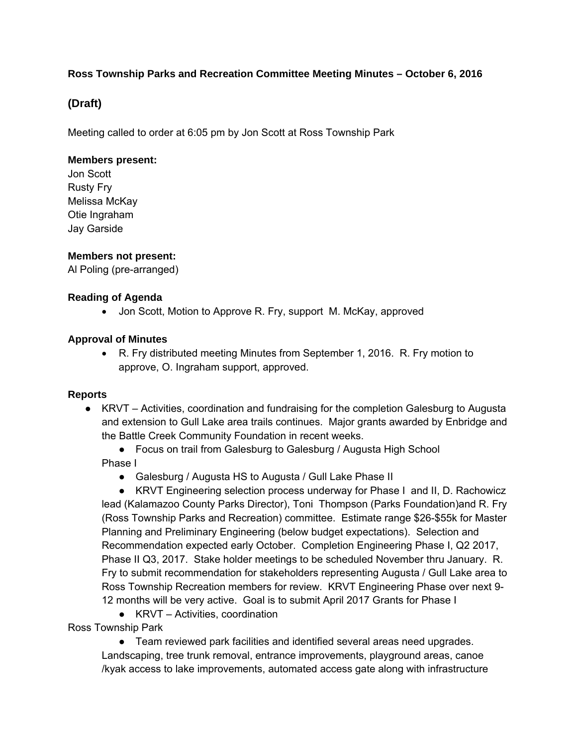### **Ross Township Parks and Recreation Committee Meeting Minutes – October 6, 2016**

# **(Draft)**

Meeting called to order at 6:05 pm by Jon Scott at Ross Township Park

#### **Members present:**

Jon Scott Rusty Fry Melissa McKay Otie Ingraham Jay Garside

### **Members not present:**

Al Poling (pre-arranged)

### **Reading of Agenda**

• Jon Scott, Motion to Approve R. Fry, support M. McKay, approved

### **Approval of Minutes**

 R. Fry distributed meeting Minutes from September 1, 2016. R. Fry motion to approve, O. Ingraham support, approved.

### **Reports**

- KRVT Activities, coordination and fundraising for the completion Galesburg to Augusta and extension to Gull Lake area trails continues. Major grants awarded by Enbridge and the Battle Creek Community Foundation in recent weeks.
	- Focus on trail from Galesburg to Galesburg / Augusta High School
	- Phase I
		- Galesburg / Augusta HS to Augusta / Gull Lake Phase II

● KRVT Engineering selection process underway for Phase I and II, D. Rachowicz lead (Kalamazoo County Parks Director), Toni Thompson (Parks Foundation)and R. Fry (Ross Township Parks and Recreation) committee. Estimate range \$26-\$55k for Master Planning and Preliminary Engineering (below budget expectations). Selection and Recommendation expected early October. Completion Engineering Phase I, Q2 2017, Phase II Q3, 2017. Stake holder meetings to be scheduled November thru January. R. Fry to submit recommendation for stakeholders representing Augusta / Gull Lake area to Ross Township Recreation members for review. KRVT Engineering Phase over next 9- 12 months will be very active. Goal is to submit April 2017 Grants for Phase I

● KRVT – Activities, coordination

## Ross Township Park

● Team reviewed park facilities and identified several areas need upgrades. Landscaping, tree trunk removal, entrance improvements, playground areas, canoe /kyak access to lake improvements, automated access gate along with infrastructure